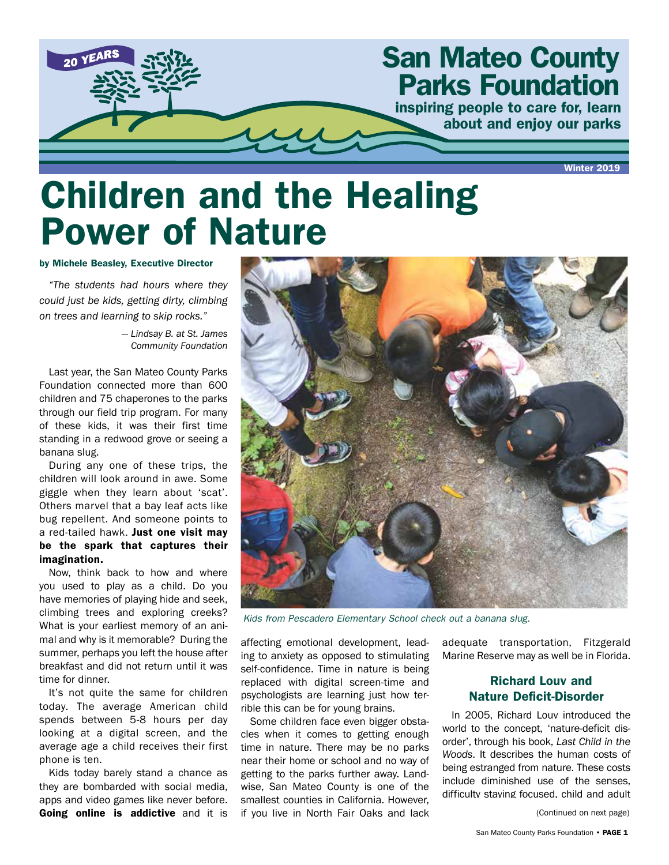

## Children and the Healing Power of Nature

#### by Michele Beasley, Executive Director

*"The students had hours where they could just be kids, getting dirty, climbing on trees and learning to skip rocks."*

> *— Lindsay B. at St. James Community Foundation*

Last year, the San Mateo County Parks Foundation connected more than 600 children and 75 chaperones to the parks through our field trip program. For many of these kids, it was their first time standing in a redwood grove or seeing a banana slug.

During any one of these trips, the children will look around in awe. Some giggle when they learn about 'scat'. Others marvel that a bay leaf acts like bug repellent. And someone points to a red-tailed hawk. Just one visit may be the spark that captures their imagination.

Now, think back to how and where you used to play as a child. Do you have memories of playing hide and seek, climbing trees and exploring creeks? What is your earliest memory of an animal and why is it memorable? During the summer, perhaps you left the house after breakfast and did not return until it was time for dinner.

It's not quite the same for children today. The average American child spends between 5-8 hours per day looking at a digital screen, and the average age a child receives their first phone is ten.

Kids today barely stand a chance as they are bombarded with social media, apps and video games like never before. Going online is addictive and it is



*Kids from Pescadero Elementary School check out a banana slug.*

affecting emotional development, leading to anxiety as opposed to stimulating self-confidence. Time in nature is being replaced with digital screen-time and psychologists are learning just how terrible this can be for young brains.

Some children face even bigger obstacles when it comes to getting enough time in nature. There may be no parks near their home or school and no way of getting to the parks further away. Landwise, San Mateo County is one of the smallest counties in California. However, if you live in North Fair Oaks and lack

adequate transportation, Fitzgerald Marine Reserve may as well be in Florida.

### Richard Louv and Nature Deficit-Disorder

In 2005, Richard Louv introduced the world to the concept, 'nature-deficit disorder', through his book, *Last Child in the Woods*. It describes the human costs of being estranged from nature. These costs include diminished use of the senses, difficulty staying focused, child and adult

(Continued on next page)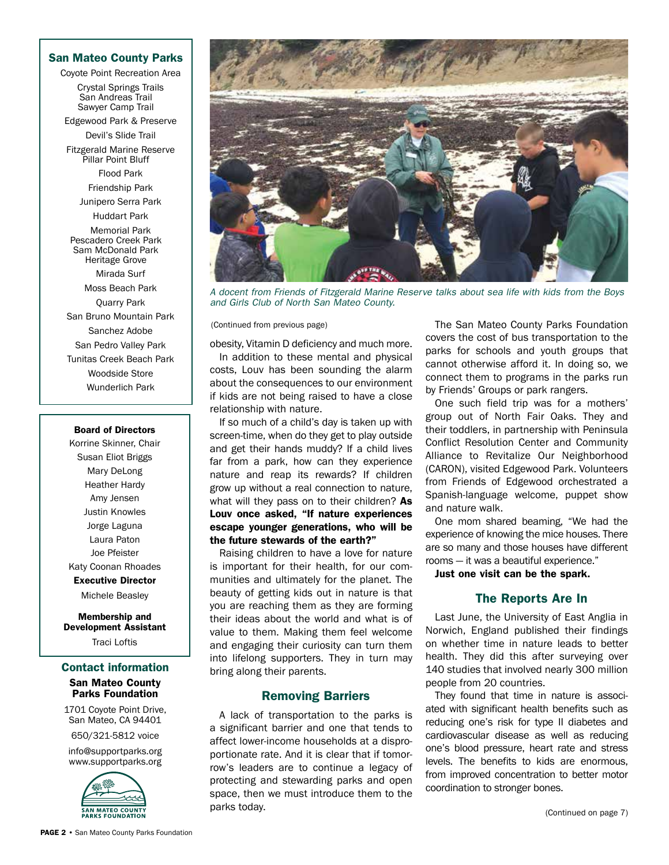#### San Mateo County Parks

Coyote Point Recreation Area

Crystal Springs Trails San Andreas Trail Sawyer Camp Trail

Edgewood Park & Preserve Devil's Slide Trail

Fitzgerald Marine Reserve Pillar Point Bluff

> Flood Park Friendship Park

Junipero Serra Park

Huddart Park

Memorial Park Pescadero Creek Park Sam McDonald Park Heritage Grove

Mirada Surf Moss Beach Park Quarry Park San Bruno Mountain Park Sanchez Adobe San Pedro Valley Park Tunitas Creek Beach Park Woodside Store Wunderlich Park

#### Board of Directors

Korrine Skinner, Chair Susan Eliot Briggs Mary DeLong Heather Hardy Amy Jensen Justin Knowles Jorge Laguna Laura Paton Joe Pfeister Katy Coonan Rhoades Executive Director

Michele Beasley

Membership and Development Assistant

Traci Loftis

#### Contact information

#### San Mateo County Parks Foundation

1701 Coyote Point Drive, San Mateo, CA 94401

650/321-5812 voice

info@supportparks.org www.supportparks.org





*A docent from Friends of Fitzgerald Marine Reserve talks about sea life with kids from the Boys and Girls Club of North San Mateo County.*

(Continued from previous page)

obesity, Vitamin D deficiency and much more. In addition to these mental and physical costs, Louv has been sounding the alarm about the consequences to our environment if kids are not being raised to have a close relationship with nature.

If so much of a child's day is taken up with screen-time, when do they get to play outside and get their hands muddy? If a child lives far from a park, how can they experience nature and reap its rewards? If children grow up without a real connection to nature, what will they pass on to their children? As Louv once asked, "If nature experiences escape younger generations, who will be the future stewards of the earth?"

Raising children to have a love for nature is important for their health, for our communities and ultimately for the planet. The beauty of getting kids out in nature is that you are reaching them as they are forming their ideas about the world and what is of value to them. Making them feel welcome and engaging their curiosity can turn them into lifelong supporters. They in turn may bring along their parents.

#### Removing Barriers

A lack of transportation to the parks is a significant barrier and one that tends to affect lower-income households at a disproportionate rate. And it is clear that if tomorrow's leaders are to continue a legacy of protecting and stewarding parks and open space, then we must introduce them to the parks today.

The San Mateo County Parks Foundation covers the cost of bus transportation to the parks for schools and youth groups that cannot otherwise afford it. In doing so, we connect them to programs in the parks run by Friends' Groups or park rangers.

One such field trip was for a mothers' group out of North Fair Oaks. They and their toddlers, in partnership with Peninsula Conflict Resolution Center and Community Alliance to Revitalize Our Neighborhood (CARON), visited Edgewood Park. Volunteers from Friends of Edgewood orchestrated a Spanish-language welcome, puppet show and nature walk.

One mom shared beaming, "We had the experience of knowing the mice houses. There are so many and those houses have different rooms — it was a beautiful experience."

Just one visit can be the spark.

#### The Reports Are In

Last June, the University of East Anglia in Norwich, England published their findings on whether time in nature leads to better health. They did this after surveying over 140 studies that involved nearly 300 million people from 20 countries.

They found that time in nature is associated with significant health benefits such as reducing one's risk for type II diabetes and cardiovascular disease as well as reducing one's blood pressure, heart rate and stress levels. The benefits to kids are enormous, from improved concentration to better motor coordination to stronger bones.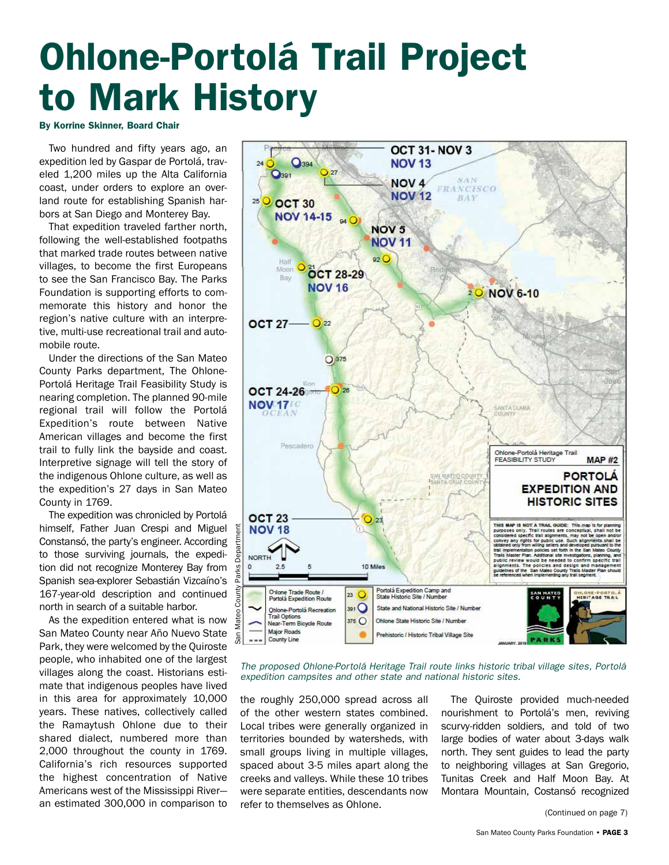# Ohlone-Portolá Trail Project to Mark History

By Korrine Skinner, Board Chair

Two hundred and fifty years ago, an expedition led by Gaspar de Portolá, traveled 1,200 miles up the Alta California coast, under orders to explore an overland route for establishing Spanish harbors at San Diego and Monterey Bay.

That expedition traveled farther north, following the well-established footpaths that marked trade routes between native villages, to become the first Europeans to see the San Francisco Bay. The Parks Foundation is supporting efforts to commemorate this history and honor the region's native culture with an interpretive, multi-use recreational trail and automobile route.

Under the directions of the San Mateo County Parks department, The Ohlone-Portolá Heritage Trail Feasibility Study is nearing completion. The planned 90-mile regional trail will follow the Portolá Expedition's route between Native American villages and become the first trail to fully link the bayside and coast. Interpretive signage will tell the story of the indigenous Ohlone culture, as well as the expedition's 27 days in San Mateo County in 1769.

The expedition was chronicled by Portolá himself, Father Juan Crespi and Miguel Constansó, the party's engineer. According to those surviving journals, the expedition did not recognize Monterey Bay from Spanish sea-explorer Sebastián Vizcaíno's 167-year-old description and continued north in search of a suitable harbor.

As the expedition entered what is now San Mateo County near Año Nuevo State Park, they were welcomed by the Quiroste people, who inhabited one of the largest villages along the coast. Historians estimate that indigenous peoples have lived in this area for approximately 10,000 years. These natives, collectively called the Ramaytush Ohlone due to their shared dialect, numbered more than 2,000 throughout the county in 1769. California's rich resources supported the highest concentration of Native Americans west of the Mississippi River an estimated 300,000 in comparison to



*The proposed Ohlone-Portolá Heritage Trail route links historic tribal village sites, Portolá expedition campsites and other state and national historic sites.*

the roughly 250,000 spread across all of the other western states combined. Local tribes were generally organized in territories bounded by watersheds, with small groups living in multiple villages, spaced about 3-5 miles apart along the creeks and valleys. While these 10 tribes were separate entities, descendants now refer to themselves as Ohlone.

The Quiroste provided much-needed nourishment to Portolá's men, reviving scurvy-ridden soldiers, and told of two large bodies of water about 3-days walk north. They sent guides to lead the party to neighboring villages at San Gregorio, Tunitas Creek and Half Moon Bay. At Montara Mountain, Costansó recognized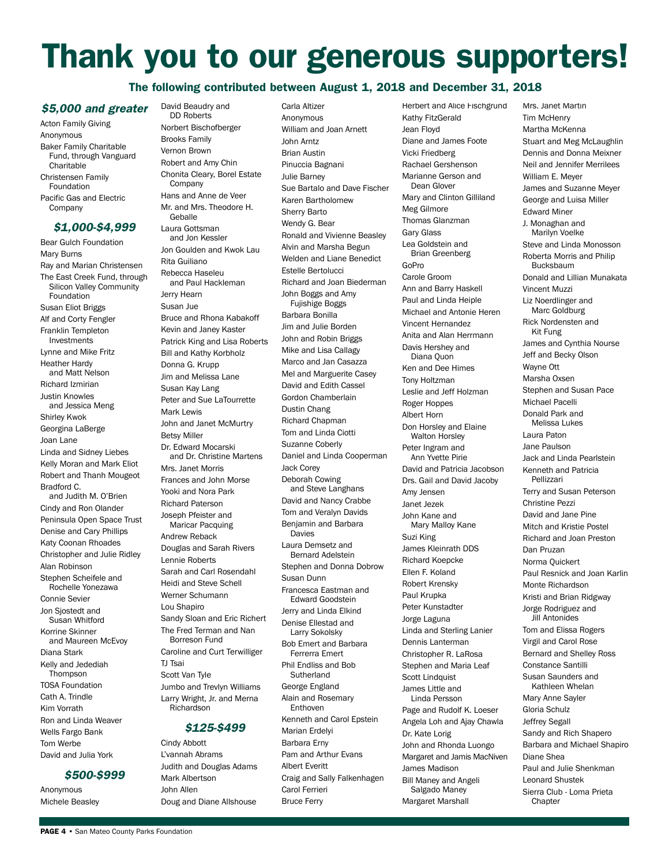## Thank you to our generous supporters!

#### The following contributed between August 1, 2018 and December 31, 2018

#### *\$5,000 and greater*

Acton Family Giving Anonymous Baker Family Charitable Fund, through Vanguard **Charitable** Christensen Family Foundation Pacific Gas and Electric Company

#### *\$1,000-\$4,999*

Bear Gulch Foundation Mary Burns Ray and Marian Christensen The East Creek Fund, through Silicon Valley Community Foundation Susan Eliot Briggs Alf and Corty Fengler Franklin Templeton Investments Lynne and Mike Fritz Heather Hardy and Matt Nelson Richard Izmirian Justin Knowles and Jessica Meng Shirley Kwok Georgina LaBerge Joan Lane Linda and Sidney Liebes Kelly Moran and Mark Eliot Robert and Thanh Mougeot Bradford C. and Judith M. O'Brien Cindy and Ron Olander Peninsula Open Space Trust Denise and Cary Phillips Katy Coonan Rhoades Christopher and Julie Ridley Alan Robinson Stephen Scheifele and Rochelle Yonezawa Connie Sevier Jon Sjostedt and Susan Whitford Korrine Skinner and Maureen McEvoy Diana Stark Kelly and Jedediah Thompson TOSA Foundation Cath A. Trindle Kim Vorrath Ron and Linda Weaver Wells Fargo Bank Tom Werbe David and Julia York

#### *\$500-\$999*

Anonymous Michele Beasley David Beaudry and DD Roberts Norbert Bischofberger Brooks Family Vernon Brown Robert and Amy Chin Chonita Cleary, Borel Estate Company Hans and Anne de Veer Mr. and Mrs. Theodore H. Geballe Laura Gottsman and Jon Kessler Jon Goulden and Kwok Lau Rita Guiliano Rebecca Haseleu and Paul Hackleman Jerry Hearn Susan Jue Bruce and Rhona Kabakoff Kevin and Janey Kaster Patrick King and Lisa Roberts Bill and Kathy Korbholz Donna G. Krupp Jim and Melissa Lane Susan Kay Lang Peter and Sue LaTourrette Mark Lewis John and Janet McMurtry Betsy Miller Dr. Edward Mocarski and Dr. Christine Martens Mrs. Janet Morris Frances and John Morse Yooki and Nora Park Richard Paterson Joseph Pfeister and Maricar Pacquing Andrew Reback Douglas and Sarah Rivers Lennie Roberts Sarah and Carl Rosendahl Heidi and Steve Schell Werner Schumann Lou Shapiro Sandy Sloan and Eric Richert The Fred Terman and Nan Borreson Fund Caroline and Curt Terwilliger TJ Tsai Scott Van Tyle Jumbo and Trevlyn Williams Larry Wright, Jr. and Merna Richardson

#### *\$125-\$499*

Cindy Abbott L'vannah Abrams Judith and Douglas Adams Mark Albertson John Allen Doug and Diane Allshouse

Carla Altizer Anonymous William and Joan Arnett John Arntz Brian Austin Pinuccia Bagnani Julie Barney Sue Bartalo and Dave Fischer Karen Bartholomew Sherry Barto Wendy G. Bear Ronald and Vivienne Beasley Alvin and Marsha Begun Welden and Liane Benedict Estelle Bertolucci Richard and Joan Biederman John Boggs and Amy Fujishige Boggs Barbara Bonilla Jim and Julie Borden John and Robin Briggs Mike and Lisa Callagy Marco and Jan Casazza Mel and Marguerite Casey David and Edith Cassel Gordon Chamberlain Dustin Chang Richard Chapman Tom and Linda Ciotti Suzanne Coberly Daniel and Linda Cooperman Jack Corey Deborah Cowing and Steve Langhans David and Nancy Crabbe Tom and Veralyn Davids Benjamin and Barbara Davies Laura Demsetz and Bernard Adelstein Stephen and Donna Dobrow Susan Dunn Francesca Eastman and Edward Goodstein Jerry and Linda Elkind Denise Ellestad and Larry Sokolsky Bob Emert and Barbara Ferrerra Emert Phil Endliss and Bob **Sutherland** George England Alain and Rosemary Enthoven Kenneth and Carol Epstein Marian Erdelyi Barbara Erny Pam and Arthur Evans Albert Everitt Craig and Sally Falkenhagen Carol Ferrieri Bruce Ferry

Herbert and Alice Fischgrund Kathy FitzGerald Jean Floyd Diane and James Foote Vicki Friedberg Rachael Gershenson Marianne Gerson and Dean Glover Mary and Clinton Gilliland Meg Gilmore Thomas Glanzman Gary Glass Lea Goldstein and Brian Greenberg GoPro Carole Groom Ann and Barry Haskell Paul and Linda Heiple Michael and Antonie Heren Vincent Hernandez Anita and Alan Herrmann Davis Hershey and Diana Quon Ken and Dee Himes Tony Holtzman Leslie and Jeff Holzman Roger Hoppes Albert Horn Don Horsley and Elaine Walton Horsley Peter Ingram and Ann Yvette Pirie David and Patricia Jacobson Drs. Gail and David Jacoby Amy Jensen Janet Jezek John Kane and Mary Malloy Kane Suzi King James Kleinrath DDS Richard Koepcke Ellen F. Koland Robert Krensky Paul Krupka Peter Kunstadter Jorge Laguna Linda and Sterling Lanier Dennis Lanterman Christopher R. LaRosa Stephen and Maria Leaf Scott Lindquist James Little and Linda Persson Page and Rudolf K. Loeser Angela Loh and Ajay Chawla Dr. Kate Lorig John and Rhonda Luongo Margaret and Jamis MacNiven James Madison Bill Maney and Angeli Salgado Maney Margaret Marshall

Mrs. Janet Martin **Tim McHenry** Martha McKenna Stuart and Meg McLaughlin Dennis and Donna Meixner Neil and Jennifer Merrilees William E. Meyer James and Suzanne Meyer George and Luisa Miller Edward Miner J. Monaghan and Marilyn Voelke Steve and Linda Monosson Roberta Morris and Philip Bucksbaum Donald and Lillian Munakata Vincent Muzzi Liz Noerdlinger and Marc Goldburg Rick Nordensten and Kit Fung James and Cynthia Nourse Jeff and Becky Olson Wayne Ott Marsha Oxsen Stephen and Susan Pace Michael Pacelli Donald Park and Melissa Lukes Laura Paton Jane Paulson Jack and Linda Pearlstein Kenneth and Patricia Pellizzari Terry and Susan Peterson Christine Pezzi David and Jane Pine Mitch and Kristie Postel Richard and Joan Preston Dan Pruzan Norma Quickert Paul Resnick and Joan Karlin Monte Richardson Kristi and Brian Ridgway Jorge Rodriguez and **Jill Antonides** Tom and Elissa Rogers Virgil and Carol Rose Bernard and Shelley Ross Constance Santilli Susan Saunders and Kathleen Whelan Mary Anne Sayler Gloria Schulz Jeffrey Segall Sandy and Rich Shapero Barbara and Michael Shapiro Diane Shea Paul and Julie Shenkman Leonard Shustek Sierra Club - Loma Prieta **Chapter**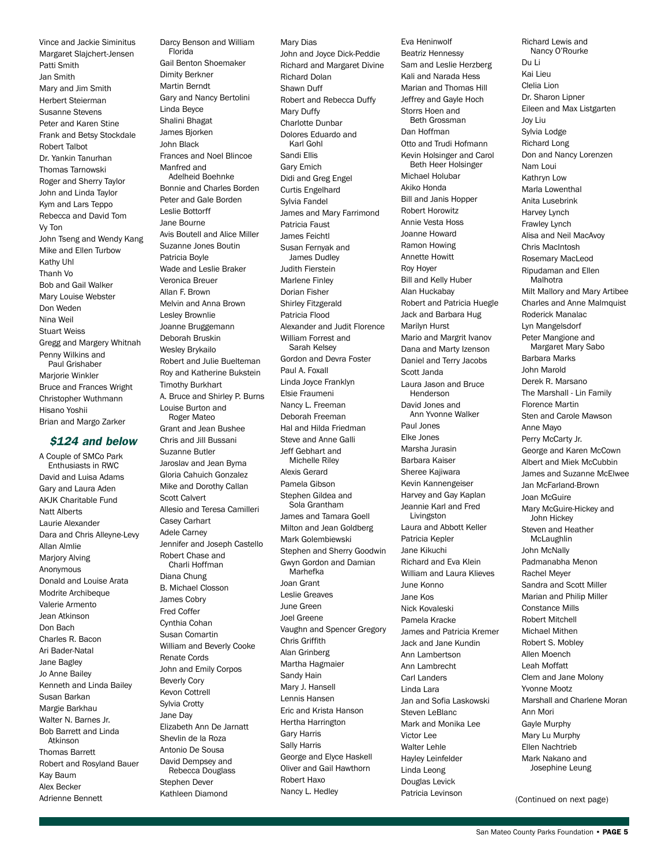Vince and Jackie Siminitus Margaret Slajchert-Jensen Patti Smith Jan Smith Mary and Jim Smith Herbert Steierman Susanne Stevens Peter and Karen Stine Frank and Betsy Stockdale Robert Talbot Dr. Yankin Tanurhan Thomas Tarnowski Roger and Sherry Taylor John and Linda Taylor Kym and Lars Teppo Rebecca and David Tom Vy Ton John Tseng and Wendy Kang Mike and Ellen Turbow Kathy Uhl Thanh Vo Bob and Gail Walker Mary Louise Webster Don Weden Nina Weil Stuart Weiss Gregg and Margery Whitnah Penny Wilkins and Paul Grishaber Mariorie Winkler Bruce and Frances Wright Christopher Wuthmann Hisano Yoshii Brian and Margo Zarker

#### *\$124 and below*

A Couple of SMCo Park Enthusiasts in RWC David and Luisa Adams Gary and Laura Aden AK IK Charitable Fund Natt Alberts Laurie Alexander Dara and Chris Alleyne-Levy Allan Almlie Marjory Alving Anonymous Donald and Louise Arata Modrite Archibeque Valerie Armento Jean Atkinson Don Bach Charles R. Bacon Ari Bader-Natal Jane Bagley Jo Anne Bailey Kenneth and Linda Bailey Susan Barkan Margie Barkhau Walter N. Barnes Jr. Bob Barrett and Linda Atkinson Thomas Barrett Robert and Rosyland Bauer Kay Baum Alex Becker Adrienne Bennett

Gail Benton Shoemaker Dimity Berkner Martin Berndt Gary and Nancy Bertolini Linda Beyce Shalini Bhagat James Bjorken John Black Frances and Noel Blincoe Manfred and Adelheid Boehnke Bonnie and Charles Borden Peter and Gale Borden Leslie Bottorff Jane Bourne Avis Boutell and Alice Miller Suzanne Jones Boutin Patricia Boyle Wade and Leslie Braker Veronica Breuer Allan F. Brown Melvin and Anna Brown Lesley Brownlie Joanne Bruggemann Deborah Bruskin Wesley Brykailo Robert and Julie Buelteman Roy and Katherine Bukstein Timothy Burkhart A. Bruce and Shirley P. Burns Louise Burton and Roger Mateo Grant and Jean Bushee Chris and Jill Bussani Suzanne Butler Jaroslav and Jean Byma Gloria Cahuich Gonzalez Mike and Dorothy Callan Scott Calvert Allesio and Teresa Camilleri Casey Carhart Adele Carney Jennifer and Joseph Castello Robert Chase and Charli Hoffman Diana Chung B. Michael Closson James Cobry Fred Coffer Cynthia Cohan Susan Comartin William and Beverly Cooke Renate Cords John and Emily Corpos Beverly Cory Kevon Cottrell Sylvia Crotty Jane Day Elizabeth Ann De Jarnatt Shevlin de la Roza Antonio De Sousa David Dempsey and Rebecca Douglass Stephen Dever Kathleen Diamond

Darcy Benson and William

Florida

Mary Dias John and Joyce Dick-Peddie Richard and Margaret Divine Richard Dolan Shawn Duff Robert and Rebecca Duffy Mary Duffy Charlotte Dunbar Dolores Eduardo and Karl Gohl Sandi Ellis Gary Emich Didi and Greg Engel Curtis Engelhard Sylvia Fandel James and Mary Farrimond Patricia Faust James Feichtl Susan Fernyak and James Dudley Judith Fierstein Marlene Finley Dorian Fisher Shirley Fitzgerald Patricia Flood Alexander and Judit Florence William Forrest and Sarah Kelsey Gordon and Devra Foster Paul A. Foxall Linda Joyce Franklyn Elsie Fraumeni Nancy L. Freeman Deborah Freeman Hal and Hilda Friedman Steve and Anne Galli Jeff Gebhart and Michelle Riley Alexis Gerard Pamela Gibson Stephen Gildea and Sola Grantham James and Tamara Goell Milton and Jean Goldberg Mark Golembiewski Stephen and Sherry Goodwin Gwyn Gordon and Damian Marhefka Joan Grant Leslie Greaves June Green Joel Greene Vaughn and Spencer Gregory Chris Griffith Alan Grinberg Martha Hagmaier Sandy Hain Mary J. Hansell Lennis Hansen Eric and Krista Hanson Hertha Harrington Gary Harris Sally Harris George and Elyce Haskell Oliver and Gail Hawthorn Robert Haxo Nancy L. Hedley

Eva Heninwolf Beatriz Hennessy Sam and Leslie Herzberg Kali and Narada Hess Marian and Thomas Hill Jeffrey and Gayle Hoch Storrs Hoen and Beth Grossman Dan Hoffman Otto and Trudi Hofmann Kevin Holsinger and Carol Beth Heer Holsinger Michael Holubar Akiko Honda Bill and Janis Hopper Robert Horowitz Annie Vesta Hoss Joanne Howard Ramon Howing Annette Howitt Roy Hoyer Bill and Kelly Huber Alan Huckabay Robert and Patricia Huegle Jack and Barbara Hug Marilyn Hurst Mario and Margrit Ivanov Dana and Marty Izenson Daniel and Terry Jacobs Scott Janda Laura Jason and Bruce Henderson David Jones and Ann Yvonne Walker Paul Jones Elke Jones Marsha Jurasin Barbara Kaiser Sheree Kajiwara Kevin Kannengeiser Harvey and Gay Kaplan Jeannie Karl and Fred Livingston Laura and Abbott Keller Patricia Kepler Jane Kikuchi Richard and Eva Klein William and Laura Klieves June Konno Jane Kos Nick Kovaleski Pamela Kracke James and Patricia Kremer Jack and Jane Kundin Ann Lambertson Ann Lambrecht Carl Landers Linda Lara Jan and Sofia Laskowski Steven LeBlanc Mark and Monika Lee Victor Lee Walter Lehle Hayley Leinfelder Linda Leong Douglas Levick Patricia Levinson

Richard Lewis and Nancy O'Rourke Du Li Kai Lieu Clelia Lion Dr. Sharon Lipner Eileen and Max Listgarten Joy Liu Sylvia Lodge Richard Long Don and Nancy Lorenzen Nam Loui Kathryn Low Marla Lowenthal Anita Lusebrink Harvey Lynch Frawley Lynch Alisa and Neil MacAvoy Chris MacIntosh Rosemary MacLeod Ripudaman and Ellen Malhotra Milt Mallory and Mary Artibee Charles and Anne Malmquist Roderick Manalac Lyn Mangelsdorf Peter Mangione and Margaret Mary Sabo Barbara Marks John Marold Derek R. Marsano The Marshall - Lin Family Florence Martin Sten and Carole Mawson Anne Mayo Perry McCarty Jr. George and Karen McCown Albert and Miek McCubbin James and Suzanne McElwee Jan McFarland-Brown Joan McGuire Mary McGuire-Hickey and John Hickey Steven and Heather McLaughlin John McNally Padmanabha Menon Rachel Meyer Sandra and Scott Miller Marian and Philip Miller Constance Mills Robert Mitchell Michael Mithen Robert S. Mobley Allen Moench Leah Moffatt Clem and Jane Molony Yvonne Mootz Marshall and Charlene Moran Ann Mori Gayle Murphy Mary Lu Murphy Ellen Nachtrieb Mark Nakano and Josephine Leung

(Continued on next page)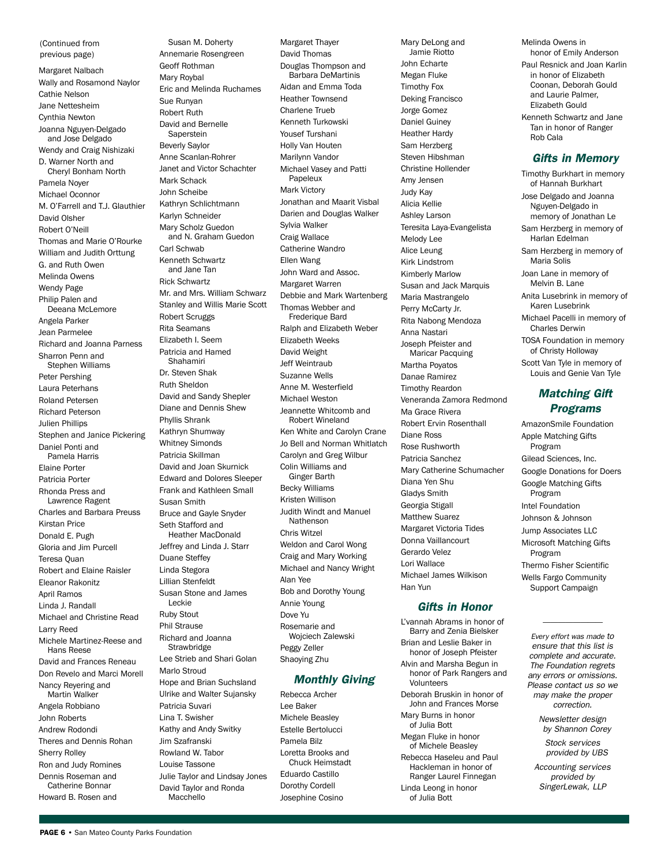(Continued from previous page)

Margaret Nalbach Wally and Rosamond Naylor Cathie Nelson Jane Nettesheim Cynthia Newton Joanna Nguyen-Delgado and Jose Delgado Wendy and Craig Nishizaki D. Warner North and Cheryl Bonham North Pamela Noyer Michael Oconnor M. O'Farrell and T.J. Glauthier David Olsher Robert O'Neill Thomas and Marie O'Rourke William and Judith Orttung G. and Ruth Owen Melinda Owens Wendy Page Philip Palen and Deeana McLemore Angela Parker Jean Parmelee Richard and Joanna Parness Sharron Penn and Stephen Williams Peter Pershing Laura Peterhans Roland Petersen Richard Peterson Julien Phillips Stephen and Janice Pickering Daniel Ponti and Pamela Harris Elaine Porter Patricia Porter Rhonda Press and Lawrence Ragent Charles and Barbara Preuss Kirstan Price Donald E. Pugh Gloria and Jim Purcell Teresa Quan Robert and Elaine Raisler Eleanor Rakonitz April Ramos Linda J. Randall Michael and Christine Read Larry Reed Michele Martinez-Reese and Hans Reese David and Frances Reneau Don Revelo and Marci Morell Nancy Reyering and Martin Walker Angela Robbiano John Roberts Andrew Rodondi Theres and Dennis Rohan Sherry Rolley Ron and Judy Romines Dennis Roseman and Catherine Bonnar Howard B. Rosen and

Annemarie Rosengreen Geoff Rothman Mary Roybal Eric and Melinda Ruchames Sue Runyan Robert Ruth David and Bernelle Saperstein Beverly Saylor Anne Scanlan-Rohrer Janet and Victor Schachter Mark Schack John Scheibe Kathryn Schlichtmann Karlyn Schneider Mary Scholz Guedon and N. Graham Guedon Carl Schwab Kenneth Schwartz and Jane Tan Rick Schwartz Mr. and Mrs. William Schwarz Stanley and Willis Marie Scott Robert Scruggs Rita Seamans Elizabeth I. Seem Patricia and Hamed Shahamiri Dr. Steven Shak Ruth Sheldon David and Sandy Shepler Diane and Dennis Shew Phyllis Shrank Kathryn Shumway Whitney Simonds Patricia Skillman David and Joan Skurnick Edward and Dolores Sleeper Frank and Kathleen Small Susan Smith Bruce and Gayle Snyder Seth Stafford and Heather MacDonald Jeffrey and Linda J. Starr Duane Steffey Linda Stegora Lillian Stenfeldt Susan Stone and James Leckie Ruby Stout Phil Strause Richard and Joanna **Strawbridge** Lee Strieb and Shari Golan Marlo Stroud Hope and Brian Suchsland Ulrike and Walter Sujansky Patricia Suvari Lina T. Swisher Kathy and Andy Switky Jim Szafranski Rowland W. Tabor Louise Tassone Julie Taylor and Lindsay Jones David Taylor and Ronda

Susan M. Doherty

Margaret Thayer David Thomas Douglas Thompson and Barbara DeMartinis Aidan and Emma Toda Heather Townsend Charlene Trueb Kenneth Turkowski Yousef Turshani Holly Van Houten Marilynn Vandor Michael Vasey and Patti Papeleux Mark Victory Jonathan and Maarit Visbal Darien and Douglas Walker Sylvia Walker Craig Wallace Catherine Wandro Ellen Wang John Ward and Assoc. Margaret Warren Debbie and Mark Wartenberg Thomas Webber and Frederique Bard Ralph and Elizabeth Weber Elizabeth Weeks David Weight Jeff Weintraub Suzanne Wells Anne M. Westerfield Michael Weston Jeannette Whitcomb and Robert Wineland Ken White and Carolyn Crane Jo Bell and Norman Whitlatch Carolyn and Greg Wilbur Colin Williams and Ginger Barth Becky Williams Kristen Willison Judith Windt and Manuel Nathenson Chris Witzel Weldon and Carol Wong Craig and Mary Working Michael and Nancy Wright Alan Yee Bob and Dorothy Young Annie Young Dove Yu Rosemarie and Wojciech Zalewski Peggy Zeller Shaoying Zhu *Monthly Giving*

Rebecca Archer Lee Baker Michele Beasley Estelle Bertolucci Pamela Bilz Loretta Brooks and Chuck Heimstadt Eduardo Castillo Dorothy Cordell Josephine Cosino

Mary DeLong and Jamie Riotto John Echarte Megan Fluke Timothy Fox Deking Francisco Jorge Gomez Daniel Guiney Heather Hardy Sam Herzberg Steven Hibshman Christine Hollender Amy Jensen Judy Kay Alicia Kellie Ashley Larson Teresita Laya-Evangelista Melody Lee Alice Leung Kirk Lindstrom Kimberly Marlow Susan and Jack Marquis Maria Mastrangelo Perry McCarty Jr. Rita Nabong Mendoza Anna Nastari Joseph Pfeister and Maricar Pacquing Martha Poyatos Danae Ramirez Timothy Reardon Veneranda Zamora Redmond Ma Grace Rivera Robert Ervin Rosenthall Diane Ross Rose Rushworth Patricia Sanchez Mary Catherine Schumacher Diana Yen Shu Gladys Smith Georgia Stigall Matthew Suarez Margaret Victoria Tides Donna Vaillancourt Gerardo Velez Lori Wallace Michael James Wilkison Han Yun

#### *Gifts in Honor*

L'vannah Abrams in honor of Barry and Zenia Bielsker Brian and Leslie Baker in honor of Joseph Pfeister Alvin and Marsha Begun in honor of Park Rangers and Volunteers Deborah Bruskin in honor of John and Frances Morse Mary Burns in honor of Julia Bott Megan Fluke in honor of Michele Beasley Rebecca Haseleu and Paul Hackleman in honor of Ranger Laurel Finnegan Linda Leong in honor of Julia Bott

Melinda Owens in honor of Emily Anderson Paul Resnick and Joan Karlin in honor of Elizabeth Coonan, Deborah Gould and Laurie Palmer, Elizabeth Gould Kenneth Schwartz and Jane Tan in honor of Ranger

#### *Gifts in Memory*

Rob Cala

Timothy Burkhart in memory of Hannah Burkhart Jose Delgado and Joanna Nguyen-Delgado in memory of Jonathan Le Sam Herzberg in memory of Harlan Edelman Sam Herzberg in memory of Maria Solis Joan Lane in memory of Melvin B. Lane Anita Lusebrink in memory of Karen Lusebrink Michael Pacelli in memory of Charles Derwin TOSA Foundation in memory of Christy Holloway Scott Van Tyle in memory of Louis and Genie Van Tyle *Matching Gift Programs* AmazonSmile Foundation Apple Matching Gifts Program Gilead Sciences, Inc. Google Donations for Doers Google Matching Gifts Program Intel Foundation Johnson & Johnson Jump Associates LLC

Microsoft Matching Gifts Program Thermo Fisher Scientific Wells Fargo Community Support Campaign

*Every effort was made to ensure that this list is complete and accurate. The Foundation regrets any errors or omissions. Please contact us so we may make the proper correction.*

*————————*

*Newsletter design by Shannon Corey*

*Stock services provided by UBS*

*Accounting services provided by SingerLewak, LLP*

Macchello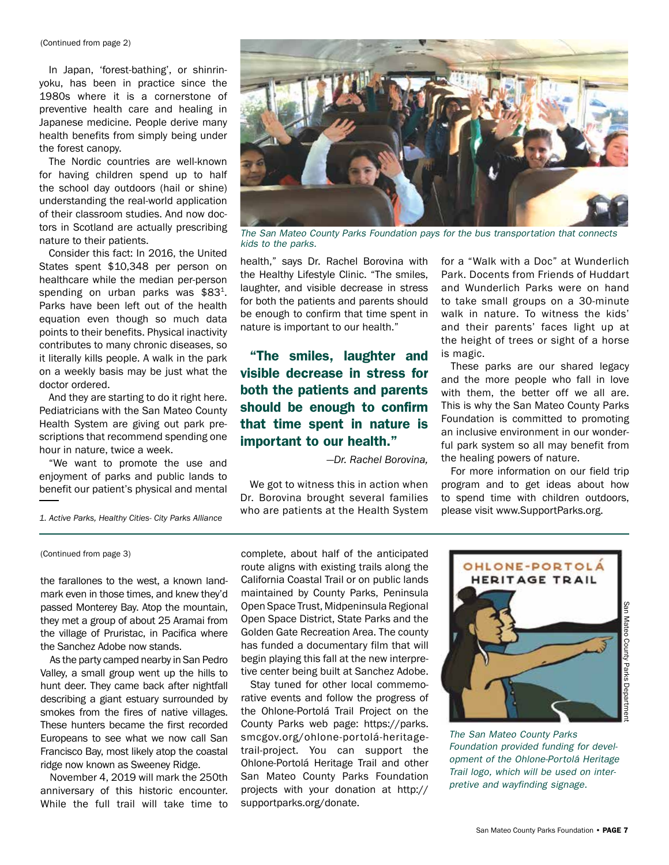(Continued from page 2)

In Japan, 'forest-bathing', or shinrinyoku, has been in practice since the 1980s where it is a cornerstone of preventive health care and healing in Japanese medicine. People derive many health benefits from simply being under the forest canopy.

The Nordic countries are well-known for having children spend up to half the school day outdoors (hail or shine) understanding the real-world application of their classroom studies. And now doctors in Scotland are actually prescribing nature to their patients.

Consider this fact: In 2016, the United States spent \$10,348 per person on healthcare while the median per-person spending on urban parks was  $$83<sup>1</sup>$ . Parks have been left out of the health equation even though so much data points to their benefits. Physical inactivity contributes to many chronic diseases, so it literally kills people. A walk in the park on a weekly basis may be just what the doctor ordered.

And they are starting to do it right here. Pediatricians with the San Mateo County Health System are giving out park prescriptions that recommend spending one hour in nature, twice a week.

"We want to promote the use and enjoyment of parks and public lands to benefit our patient's physical and mental



*The San Mateo County Parks Foundation pays for the bus transportation that connects kids to the parks.*

health," says Dr. Rachel Borovina with the Healthy Lifestyle Clinic. "The smiles, laughter, and visible decrease in stress for both the patients and parents should be enough to confirm that time spent in nature is important to our health."

"The smiles, laughter and visible decrease in stress for both the patients and parents should be enough to confirm that time spent in nature is important to our health."

*—Dr. Rachel Borovina,*

We got to witness this in action when Dr. Borovina brought several families who are patients at the Health System for a "Walk with a Doc" at Wunderlich Park. Docents from Friends of Huddart and Wunderlich Parks were on hand to take small groups on a 30-minute walk in nature. To witness the kids' and their parents' faces light up at the height of trees or sight of a horse is magic.

These parks are our shared legacy and the more people who fall in love with them, the better off we all are. This is why the San Mateo County Parks Foundation is committed to promoting an inclusive environment in our wonderful park system so all may benefit from the healing powers of nature.

For more information on our field trip program and to get ideas about how to spend time with children outdoors, please visit www.SupportParks.org.

*1. Active Parks, Healthy Cities- City Parks Alliance*

(Continued from page 3)

the farallones to the west, a known landmark even in those times, and knew they'd passed Monterey Bay. Atop the mountain, they met a group of about 25 Aramai from the village of Pruristac, in Pacifica where the Sanchez Adobe now stands.

As the party camped nearby in San Pedro Valley, a small group went up the hills to hunt deer. They came back after nightfall describing a giant estuary surrounded by smokes from the fires of native villages. These hunters became the first recorded Europeans to see what we now call San Francisco Bay, most likely atop the coastal ridge now known as Sweeney Ridge.

November 4, 2019 will mark the 250th anniversary of this historic encounter. While the full trail will take time to complete, about half of the anticipated route aligns with existing trails along the California Coastal Trail or on public lands maintained by County Parks, Peninsula Open Space Trust, Midpeninsula Regional Open Space District, State Parks and the Golden Gate Recreation Area. The county has funded a documentary film that will begin playing this fall at the new interpretive center being built at Sanchez Adobe.

Stay tuned for other local commemorative events and follow the progress of the Ohlone-Portolá Trail Project on the County Parks web page: https://parks. smcgov.org/ohlone-portolá-heritagetrail-project. You can support the Ohlone-Portolá Heritage Trail and other San Mateo County Parks Foundation projects with your donation at http:// supportparks.org/donate.



*The San Mateo County Parks Foundation provided funding for development of the Ohlone-Portolá Heritage Trail logo, which will be used on interpretive and wayfinding signage.*